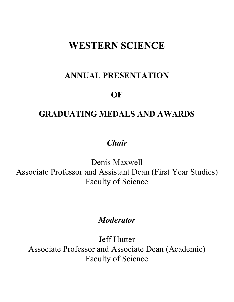# **WESTERN SCIENCE**

# **ANNUAL PRESENTATION**

# **OF**

# **GRADUATING MEDALS AND AWARDS**

# *Chair*

Denis Maxwell Associate Professor and Assistant Dean (First Year Studies) Faculty of Science

#### *Moderator*

Jeff Hutter Associate Professor and Associate Dean (Academic) Faculty of Science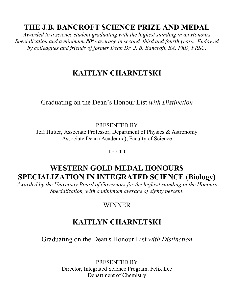# **THE J.B. BANCROFT SCIENCE PRIZE AND MEDAL**

*Awarded to a science student graduating with the highest standing in an Honours Specialization and a minimum 80% average in second, third and fourth years. Endowed by colleagues and friends of former Dean Dr. J. B. Bancroft, BA, PhD, FRSC.*

# **KAITLYN CHARNETSKI**

Graduating on the Dean's Honour List *with Distinction*

PRESENTED BY Jeff Hutter, Associate Professor, Department of Physics & Astronomy Associate Dean (Academic), Faculty of Science

\*\*\*\*\*

## **WESTERN GOLD MEDAL HONOURS SPECIALIZATION IN INTEGRATED SCIENCE (Biology)**

*Awarded by the University Board of Governors for the highest standing in the Honours Specialization, with a minimum average of eighty percent*.

#### WINNER

## **KAITLYN CHARNETSKI**

Graduating on the Dean's Honour List *with Distinction*

PRESENTED BY Director, Integrated Science Program, Felix Lee Department of Chemistry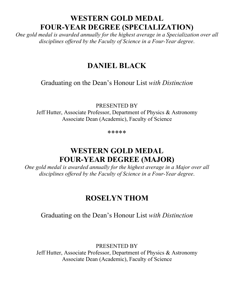## **WESTERN GOLD MEDAL FOUR-YEAR DEGREE (SPECIALIZATION)**

*One gold medal is awarded annually for the highest average in a Specialization over all disciplines offered by the Faculty of Science in a Four-Year degree*.

### **DANIEL BLACK**

Graduating on the Dean's Honour List *with Distinction*

PRESENTED BY

Jeff Hutter, Associate Professor, Department of Physics & Astronomy Associate Dean (Academic), Faculty of Science

\*\*\*\*\*

## **WESTERN GOLD MEDAL FOUR-YEAR DEGREE (MAJOR)**

*One gold medal is awarded annually for the highest average in a Major over all disciplines offered by the Faculty of Science in a Four-Year degree*.

#### **ROSELYN THOM**

#### Graduating on the Dean's Honour List *with Distinction*

PRESENTED BY

Jeff Hutter, Associate Professor, Department of Physics & Astronomy Associate Dean (Academic), Faculty of Science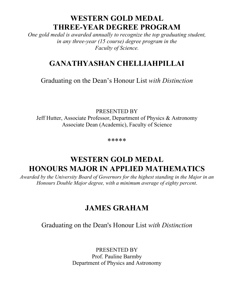## **WESTERN GOLD MEDAL THREE-YEAR DEGREE PROGRAM**

*One gold medal is awarded annually to recognize the top graduating student, in any three-year (15 course) degree program in the Faculty of Science.*

## **GANATHYASHAN CHELLIAHPILLAI**

Graduating on the Dean's Honour List *with Distinction*

PRESENTED BY Jeff Hutter, Associate Professor, Department of Physics & Astronomy Associate Dean (Academic), Faculty of Science

\*\*\*\*\*

# **WESTERN GOLD MEDAL HONOURS MAJOR IN APPLIED MATHEMATICS**

*Awarded by the University Board of Governors for the highest standing in the Major in an Honours Double Major degree, with a minimum average of eighty percent*.

#### **JAMES GRAHAM**

Graduating on the Dean's Honour List *with Distinction*

PRESENTED BY Prof. Pauline Barmby Department of Physics and Astronomy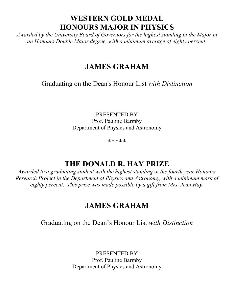#### **WESTERN GOLD MEDAL HONOURS MAJOR IN PHYSICS**

*Awarded by the University Board of Governors for the highest standing in the Major in an Honours Double Major degree, with a minimum average of eighty percent*.

## **JAMES GRAHAM**

Graduating on the Dean's Honour List *with Distinction*

PRESENTED BY Prof. Pauline Barmby Department of Physics and Astronomy

\*\*\*\*\*

## **THE DONALD R. HAY PRIZE**

*Awarded to a graduating student with the highest standing in the fourth year Honours Research Project in the Department of Physics and Astronomy, with a minimum mark of eighty percent*. *This prize was made possible by a gift from Mrs. Jean Hay*.

# **JAMES GRAHAM**

Graduating on the Dean's Honour List *with Distinction*

PRESENTED BY Prof. Pauline Barmby Department of Physics and Astronomy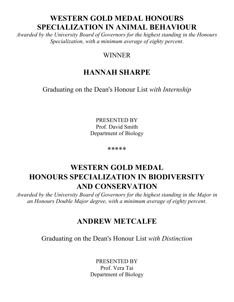#### **WESTERN GOLD MEDAL HONOURS SPECIALIZATION IN ANIMAL BEHAVIOUR**

*Awarded by the University Board of Governors for the highest standing in the Honours Specialization, with a minimum average of eighty percent*.

#### WINNER

# **HANNAH SHARPE**

Graduating on the Dean's Honour List *with Internship*

PRESENTED BY Prof. David Smith Department of Biology

\*\*\*\*\*

# **WESTERN GOLD MEDAL HONOURS SPECIALIZATION IN BIODIVERSITY AND CONSERVATION**

*Awarded by the University Board of Governors for the highest standing in the Major in an Honours Double Major degree, with a minimum average of eighty percent*.

## **ANDREW METCALFE**

Graduating on the Dean's Honour List *with Distinction*

PRESENTED BY Prof. Vera Tai Department of Biology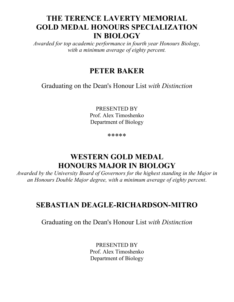## **THE TERENCE LAVERTY MEMORIAL GOLD MEDAL HONOURS SPECIALIZATION IN BIOLOGY**

*Awarded for top academic performance in fourth year Honours Biology, with a minimum average of eighty percent.*

#### **PETER BAKER**

Graduating on the Dean's Honour List *with Distinction*

PRESENTED BY Prof. Alex Timoshenko Department of Biology

\*\*\*\*\*

# **WESTERN GOLD MEDAL HONOURS MAJOR IN BIOLOGY**

*Awarded by the University Board of Governors for the highest standing in the Major in an Honours Double Major degree, with a minimum average of eighty percent*.

#### **SEBASTIAN DEAGLE-RICHARDSON-MITRO**

Graduating on the Dean's Honour List *with Distinction*

PRESENTED BY Prof. Alex Timoshenko Department of Biology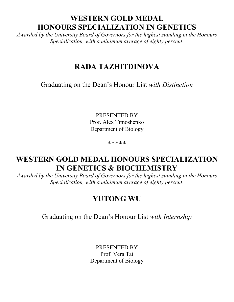## **WESTERN GOLD MEDAL HONOURS SPECIALIZATION IN GENETICS**

*Awarded by the University Board of Governors for the highest standing in the Honours Specialization, with a minimum average of eighty percent*.

### **RADA TAZHITDINOVA**

Graduating on the Dean's Honour List *with Distinction*

PRESENTED BY Prof. Alex Timoshenko Department of Biology

\*\*\*\*\*

#### **WESTERN GOLD MEDAL HONOURS SPECIALIZATION IN GENETICS & BIOCHEMISTRY**

*Awarded by the University Board of Governors for the highest standing in the Honours Specialization, with a minimum average of eighty percent*.

#### **YUTONG WU**

Graduating on the Dean's Honour List *with Internship*

PRESENTED BY Prof. Vera Tai Department of Biology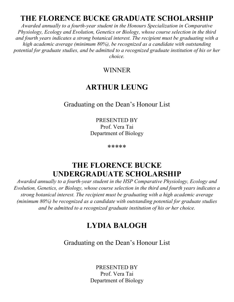## **THE FLORENCE BUCKE GRADUATE SCHOLARSHIP**

*Awarded annually to a fourth-year student in the Honours Specialization in Comparative Physiology, Ecology and Evolution, Genetics or Biology, whose course selection in the third and fourth years indicates a strong botanical interest. The recipient must be graduating with a high academic average (minimum 80%), be recognized as a candidate with outstanding potential for graduate studies, and be admitted to a recognized graduate institution of his or her choice.*

#### WINNER

## **ARTHUR LEUNG**

#### Graduating on the Dean's Honour List

PRESENTED BY Prof. Vera Tai Department of Biology

\*\*\*\*\*

#### **THE FLORENCE BUCKE UNDERGRADUATE SCHOLARSHIP**

*Awarded annually to a fourth-year student in the HSP Comparative Physiology, Ecology and Evolution, Genetics, or Biology, whose course selection in the third and fourth years indicates a strong botanical interest. The recipient must be graduating with a high academic average (minimum 80%) be recognized as a candidate with outstanding potential for graduate studies and be admitted to a recognized graduate institution of his or her choice.*

## **LYDIA BALOGH**

Graduating on the Dean's Honour List

PRESENTED BY Prof. Vera Tai Department of Biology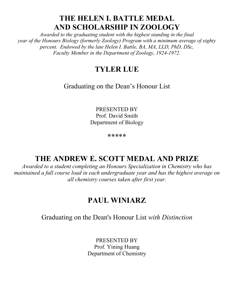## **THE HELEN I. BATTLE MEDAL AND SCHOLARSHIP IN ZOOLOGY**

*Awarded to the graduating student with the highest standing in the final year of the Honours Biology (formerly Zoology) Program with a minimum average of eighty percent. Endowed by the late Helen I. Battle, BA, MA, LLD, PhD, DSc, Faculty Member in the Department of Zoology, 1924-1972.*

## **TYLER LUE**

Graduating on the Dean's Honour List

PRESENTED BY Prof. David Smith Department of Biology

\*\*\*\*\*

# **THE ANDREW E. SCOTT MEDAL AND PRIZE**

*Awarded to a student completing an Honours Specialization in Chemistry who has maintained a full course load in each undergraduate year and has the highest average on all chemistry courses taken after first year.*

# **PAUL WINIARZ**

Graduating on the Dean's Honour List *with Distinction*

PRESENTED BY Prof. Yining Huang Department of Chemistry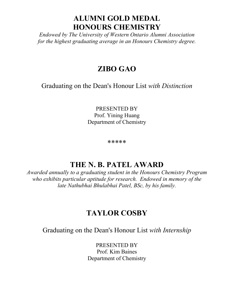### **ALUMNI GOLD MEDAL HONOURS CHEMISTRY**

*Endowed by The University of Western Ontario Alumni Association for the highest graduating average in an Honours Chemistry degree.*

### **ZIBO GAO**

Graduating on the Dean's Honour List *with Distinction*

PRESENTED BY Prof. Yining Huang Department of Chemistry

\*\*\*\*\*

#### **THE N. B. PATEL AWARD**

*Awarded annually to a graduating student in the Honours Chemistry Program who exhibits particular aptitude for research. Endowed in memory of the late Nathubhai Bhulabhai Patel, BSc, by his family.*

#### **TAYLOR COSBY**

Graduating on the Dean's Honour List *with Internship*

PRESENTED BY Prof. Kim Baines Department of Chemistry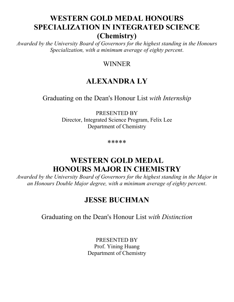## **WESTERN GOLD MEDAL HONOURS SPECIALIZATION IN INTEGRATED SCIENCE (Chemistry)**

*Awarded by the University Board of Governors for the highest standing in the Honours Specialization, with a minimum average of eighty percent*.

#### WINNER

## **ALEXANDRA LY**

Graduating on the Dean's Honour List *with Internship*

PRESENTED BY Director, Integrated Science Program, Felix Lee Department of Chemistry

\*\*\*\*\*

## **WESTERN GOLD MEDAL HONOURS MAJOR IN CHEMISTRY**

*Awarded by the University Board of Governors for the highest standing in the Major in an Honours Double Major degree, with a minimum average of eighty percent*.

#### **JESSE BUCHMAN**

Graduating on the Dean's Honour List *with Distinction*

PRESENTED BY Prof. Yining Huang Department of Chemistry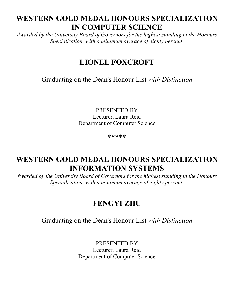# **WESTERN GOLD MEDAL HONOURS SPECIALIZATION IN COMPUTER SCIENCE**

*Awarded by the University Board of Governors for the highest standing in the Honours Specialization, with a minimum average of eighty percent*.

# **LIONEL FOXCROFT**

Graduating on the Dean's Honour List *with Distinction*

PRESENTED BY Lecturer, Laura Reid Department of Computer Science

\*\*\*\*\*

#### **WESTERN GOLD MEDAL HONOURS SPECIALIZATION INFORMATION SYSTEMS**

*Awarded by the University Board of Governors for the highest standing in the Honours Specialization, with a minimum average of eighty percent*.

# **FENGYI ZHU**

#### Graduating on the Dean's Honour List *with Distinction*

PRESENTED BY Lecturer, Laura Reid Department of Computer Science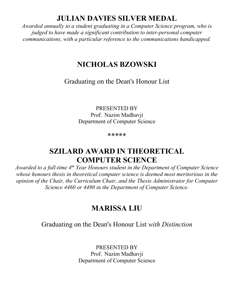#### **JULIAN DAVIES SILVER MEDAL**

*Awarded annually to a student graduating in a Computer Science program, who is judged to have made a significant contribution to inter-personal computer communications, with a particular reference to the communications handicapped.*

#### **NICHOLAS BZOWSKI**

Graduating on the Dean's Honour List

PRESENTED BY Prof. Nazim Madhavji Department of Computer Science

\*\*\*\*\*

#### **SZILARD AWARD IN THEORETICAL COMPUTER SCIENCE**

*Awarded to a full-time 4th Year Honours student in the Department of Computer Science whose honours thesis in theoretical computer science is deemed most meritorious in the opinion of the Chair, the Curriculum Chair, and the Thesis Administrator for Computer Science 4460 or 4490 in the Department of Computer Science.*

#### **MARISSA LIU**

Graduating on the Dean's Honour List *with Distinction*

PRESENTED BY Prof. Nazim Madhavji Department of Computer Science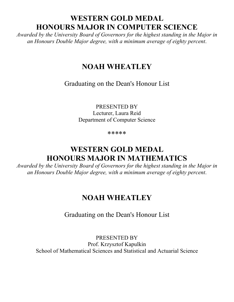## **WESTERN GOLD MEDAL HONOURS MAJOR IN COMPUTER SCIENCE**

*Awarded by the University Board of Governors for the highest standing in the Major in an Honours Double Major degree, with a minimum average of eighty percent*.

#### **NOAH WHEATLEY**

Graduating on the Dean's Honour List

PRESENTED BY Lecturer, Laura Reid Department of Computer Science

\*\*\*\*\*

# **WESTERN GOLD MEDAL HONOURS MAJOR IN MATHEMATICS**

*Awarded by the University Board of Governors for the highest standing in the Major in an Honours Double Major degree, with a minimum average of eighty percent*.

## **NOAH WHEATLEY**

Graduating on the Dean's Honour List

PRESENTED BY Prof. Krzysztof Kapulkin School of Mathematical Sciences and Statistical and Actuarial Science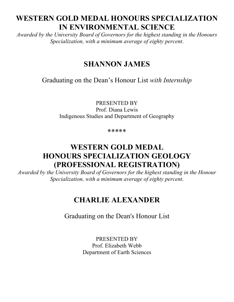# **WESTERN GOLD MEDAL HONOURS SPECIALIZATION IN ENVIRONMENTAL SCIENCE**

*Awarded by the University Board of Governors for the highest standing in the Honours Specialization, with a minimum average of eighty percent*.

## **SHANNON JAMES**

Graduating on the Dean's Honour List *with Internship*

PRESENTED BY Prof. Diana Lewis Indigenous Studies and Department of Geography

\*\*\*\*\*

# **WESTERN GOLD MEDAL HONOURS SPECIALIZATION GEOLOGY (PROFESSIONAL REGISTRATION)**

*Awarded by the University Board of Governors for the highest standing in the Honour Specialization, with a minimum average of eighty percent*.

## **CHARLIE ALEXANDER**

Graduating on the Dean's Honour List

PRESENTED BY Prof. Elizabeth Webb Department of Earth Sciences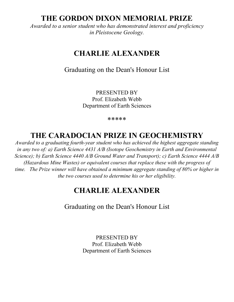#### **THE GORDON DIXON MEMORIAL PRIZE**

*Awarded to a senior student who has demonstrated interest and proficiency in Pleistocene Geology.*

### **CHARLIE ALEXANDER**

Graduating on the Dean's Honour List

PRESENTED BY Prof. Elizabeth Webb Department of Earth Sciences

\*\*\*\*\*

## **THE CARADOCIAN PRIZE IN GEOCHEMISTRY**

*Awarded to a graduating fourth-year student who has achieved the highest aggregate standing in any two of: a) Earth Science 4431 A/B (Isotope Geochemistry in Earth and Environmental Science); b) Earth Science 4440 A/B Ground Water and Transport); c) Earth Science 4444 A/B (Hazardous Mine Wastes) or equivalent courses that replace these with the progress of time. The Prize winner will have obtained a minimum aggregate standing of 80% or higher in the two courses used to determine his or her eligibility.*

#### **CHARLIE ALEXANDER**

Graduating on the Dean's Honour List

PRESENTED BY Prof. Elizabeth Webb Department of Earth Sciences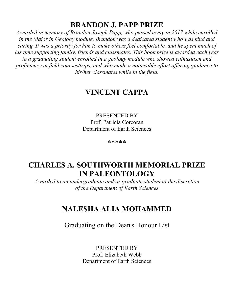#### **BRANDON J. PAPP PRIZE**

*Awarded in memory of Brandon Joseph Papp, who passed away in 2017 while enrolled in the Major in Geology module. Brandon was a dedicated student who was kind and caring. It was a priority for him to make others feel comfortable, and he spent much of his time supporting family, friends and classmates. This book prize is awarded each year to a graduating student enrolled in a geology module who showed enthusiasm and proficiency in field courses/trips, and who made a noticeable effort offering guidance to his/her classmates while in the field.*

#### **VINCENT CAPPA**

PRESENTED BY Prof. Patricia Corcoran Department of Earth Sciences

\*\*\*\*\*

#### **CHARLES A. SOUTHWORTH MEMORIAL PRIZE IN PALEONTOLOGY**

*Awarded to an undergraduate and/or graduate student at the discretion of the Department of Earth Sciences*

#### **NALESHA ALIA MOHAMMED**

Graduating on the Dean's Honour List

PRESENTED BY Prof. Elizabeth Webb Department of Earth Sciences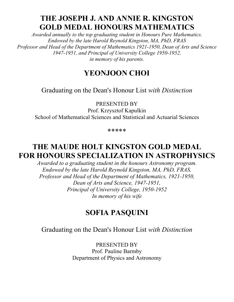## **THE JOSEPH J. AND ANNIE R. KINGSTON GOLD MEDAL HONOURS MATHEMATICS**

*Awarded annually to the top graduating student in Honours Pure Mathematics. Endowed by the late Harold Reynold Kingston, MA, PhD, FRAS Professor and Head of the Department of Mathematics 1921-1950, Dean of Arts and Science 1947-1951, and Principal of University College 1950-1952, in memory of his parents.*

#### **YEONJOON CHOI**

Graduating on the Dean's Honour List *with Distinction*

PRESENTED BY

Prof. Krzysztof Kapulkin School of Mathematical Sciences and Statistical and Actuarial Sciences

\*\*\*\*\*

#### **THE MAUDE HOLT KINGSTON GOLD MEDAL FOR HONOURS SPECIALIZATION IN ASTROPHYSICS**

*Awarded to a graduating student in the honours Astronomy program. Endowed by the late Harold Reynold Kingston, MA, PhD, FRAS, Professor and Head of the Department of Mathematics, 1921-1950, Dean of Arts and Science, 1947-1951, Principal of University College, 1950-1952 In memory of his wife*

#### **SOFIA PASQUINI**

Graduating on the Dean's Honour List *with Distinction*

PRESENTED BY Prof. Pauline Barmby Department of Physics and Astronomy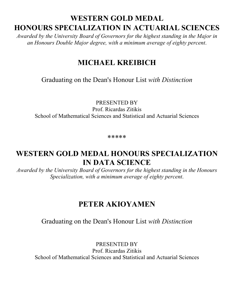# **WESTERN GOLD MEDAL HONOURS SPECIALIZATION IN ACTUARIAL SCIENCES**

*Awarded by the University Board of Governors for the highest standing in the Major in an Honours Double Major degree, with a minimum average of eighty percent*.

# **MICHAEL KREIBICH**

Graduating on the Dean's Honour List *with Distinction*

PRESENTED BY Prof. Ricardas Zitikis School of Mathematical Sciences and Statistical and Actuarial Sciences

\*\*\*\*\*

#### **WESTERN GOLD MEDAL HONOURS SPECIALIZATION IN DATA SCIENCE**

*Awarded by the University Board of Governors for the highest standing in the Honours Specialization, with a minimum average of eighty percent*.

#### **PETER AKIOYAMEN**

#### Graduating on the Dean's Honour List *with Distinction*

PRESENTED BY Prof. Ricardas Zitikis School of Mathematical Sciences and Statistical and Actuarial Sciences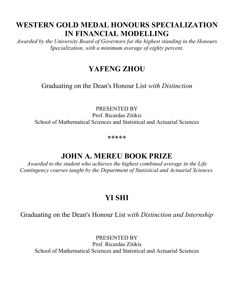## **WESTERN GOLD MEDAL HONOURS SPECIALIZATION IN FINANCIAL MODELLING**

*Awarded by the University Board of Governors for the highest standing in the Honours Specialization, with a minimum average of eighty percent*.

# **YAFENG ZHOU**

Graduating on the Dean's Honour List *with Distinction*

PRESENTED BY Prof. Ricardas Zitikis School of Mathematical Sciences and Statistical and Actuarial Sciences

\*\*\*\*\*

## **JOHN A. MEREU BOOK PRIZE**

*Awarded to the student who achieves the highest combined average in the Life Contingency courses taught by the Department of Statistical and Actuarial Sciences.*

# **YI SHI**

Graduating on the Dean's Honour List *with Distinction and Internship*

PRESENTED BY Prof. Ricardas Zitikis School of Mathematical Sciences and Statistical and Actuarial Sciences